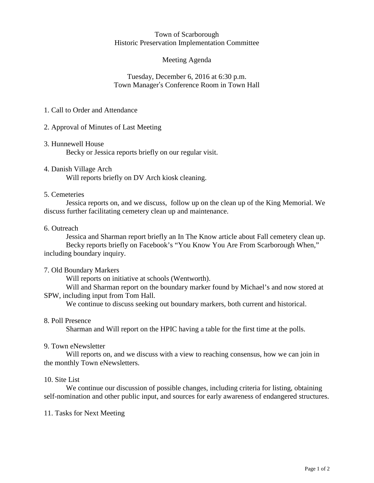#### Town of Scarborough Historic Preservation Implementation Committee

## Meeting Agenda

## Tuesday, December 6, 2016 at 6:30 p.m. Town Manager's Conference Room in Town Hall

## 1. Call to Order and Attendance

2. Approval of Minutes of Last Meeting

- 3. Hunnewell House Becky or Jessica reports briefly on our regular visit.
- 4. Danish Village Arch Will reports briefly on DV Arch kiosk cleaning.

### 5. Cemeteries

Jessica reports on, and we discuss, follow up on the clean up of the King Memorial. We discuss further facilitating cemetery clean up and maintenance.

#### 6. Outreach

Jessica and Sharman report briefly an In The Know article about Fall cemetery clean up. Becky reports briefly on Facebook's "You Know You Are From Scarborough When," including boundary inquiry.

### 7. Old Boundary Markers

Will reports on initiative at schools (Wentworth).

Will and Sharman report on the boundary marker found by Michael's and now stored at SPW, including input from Tom Hall.

We continue to discuss seeking out boundary markers, both current and historical.

### 8. Poll Presence

Sharman and Will report on the HPIC having a table for the first time at the polls.

#### 9. Town eNewsletter

Will reports on, and we discuss with a view to reaching consensus, how we can join in the monthly Town eNewsletters.

#### 10. Site List

We continue our discussion of possible changes, including criteria for listing, obtaining self-nomination and other public input, and sources for early awareness of endangered structures.

### 11. Tasks for Next Meeting